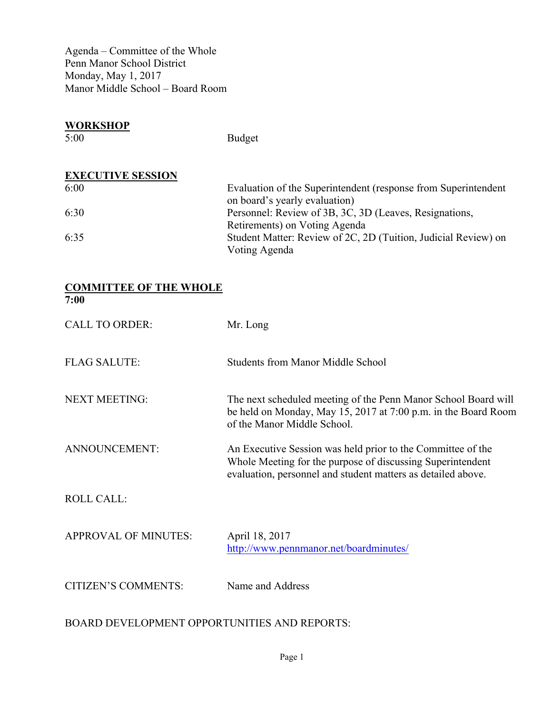Agenda – Committee of the Whole Penn Manor School District Monday, May 1, 2017 Manor Middle School – Board Room

| <b>WORKSHOP</b><br>5:00  | <b>Budget</b>                                                                                   |
|--------------------------|-------------------------------------------------------------------------------------------------|
| <b>EXECUTIVE SESSION</b> |                                                                                                 |
| 6:00                     | Evaluation of the Superintendent (response from Superintendent<br>on board's yearly evaluation) |
| 6:30                     | Personnel: Review of 3B, 3C, 3D (Leaves, Resignations,<br>Retirements) on Voting Agenda         |
| 6:35                     | Student Matter: Review of 2C, 2D (Tuition, Judicial Review) on<br>Voting Agenda                 |

## **COMMITTEE OF THE WHOLE 7:00**

| <b>CALL TO ORDER:</b>       | Mr. Long                                                                                                                                                                                  |
|-----------------------------|-------------------------------------------------------------------------------------------------------------------------------------------------------------------------------------------|
| <b>FLAG SALUTE:</b>         | <b>Students from Manor Middle School</b>                                                                                                                                                  |
| <b>NEXT MEETING:</b>        | The next scheduled meeting of the Penn Manor School Board will<br>be held on Monday, May 15, 2017 at 7:00 p.m. in the Board Room<br>of the Manor Middle School.                           |
| ANNOUNCEMENT:               | An Executive Session was held prior to the Committee of the<br>Whole Meeting for the purpose of discussing Superintendent<br>evaluation, personnel and student matters as detailed above. |
| <b>ROLL CALL:</b>           |                                                                                                                                                                                           |
| <b>APPROVAL OF MINUTES:</b> | April 18, 2017<br>http://www.pennmanor.net/boardminutes/                                                                                                                                  |
| <b>CITIZEN'S COMMENTS:</b>  | Name and Address                                                                                                                                                                          |

BOARD DEVELOPMENT OPPORTUNITIES AND REPORTS: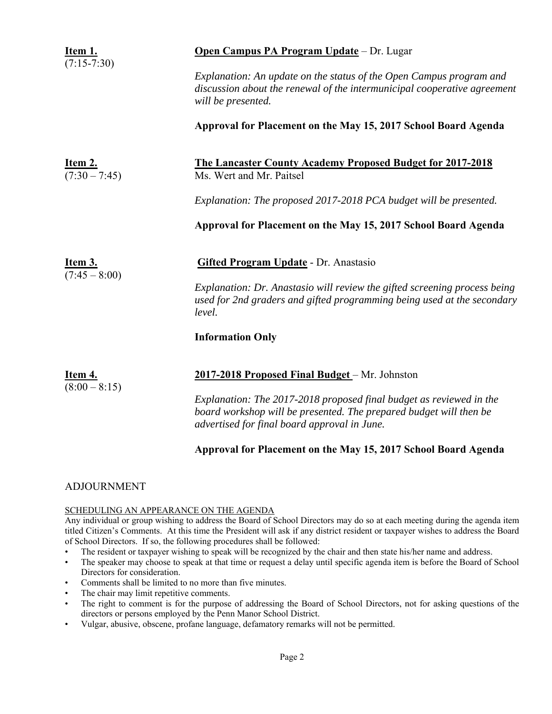| Item 1.<br>$(7:15-7:30)$          | <b>Open Campus PA Program Update</b> - Dr. Lugar                                                                                                                                          |
|-----------------------------------|-------------------------------------------------------------------------------------------------------------------------------------------------------------------------------------------|
|                                   | Explanation: An update on the status of the Open Campus program and<br>discussion about the renewal of the intermunicipal cooperative agreement<br>will be presented.                     |
|                                   | Approval for Placement on the May 15, 2017 School Board Agenda                                                                                                                            |
| <u>Item 2.</u><br>$(7:30-7:45)$   | <b>The Lancaster County Academy Proposed Budget for 2017-2018</b><br>Ms. Wert and Mr. Paitsel                                                                                             |
|                                   | Explanation: The proposed 2017-2018 PCA budget will be presented.                                                                                                                         |
|                                   | Approval for Placement on the May 15, 2017 School Board Agenda                                                                                                                            |
| <u>Item 3.</u><br>$(7:45 - 8:00)$ | <b>Gifted Program Update - Dr. Anastasio</b>                                                                                                                                              |
|                                   | Explanation: Dr. Anastasio will review the gifted screening process being<br>used for 2nd graders and gifted programming being used at the secondary<br>level.                            |
|                                   | <b>Information Only</b>                                                                                                                                                                   |
| Item 4.                           | 2017-2018 Proposed Final Budget - Mr. Johnston                                                                                                                                            |
| $(8:00 - 8:15)$                   | Explanation: The 2017-2018 proposed final budget as reviewed in the<br>board workshop will be presented. The prepared budget will then be<br>advertised for final board approval in June. |

### **Approval for Placement on the May 15, 2017 School Board Agenda**

### ADJOURNMENT

### SCHEDULING AN APPEARANCE ON THE AGENDA

Any individual or group wishing to address the Board of School Directors may do so at each meeting during the agenda item titled Citizen's Comments. At this time the President will ask if any district resident or taxpayer wishes to address the Board of School Directors. If so, the following procedures shall be followed:

- The resident or taxpayer wishing to speak will be recognized by the chair and then state his/her name and address.
- The speaker may choose to speak at that time or request a delay until specific agenda item is before the Board of School Directors for consideration.
- Comments shall be limited to no more than five minutes.
- The chair may limit repetitive comments.
- The right to comment is for the purpose of addressing the Board of School Directors, not for asking questions of the directors or persons employed by the Penn Manor School District.
- Vulgar, abusive, obscene, profane language, defamatory remarks will not be permitted.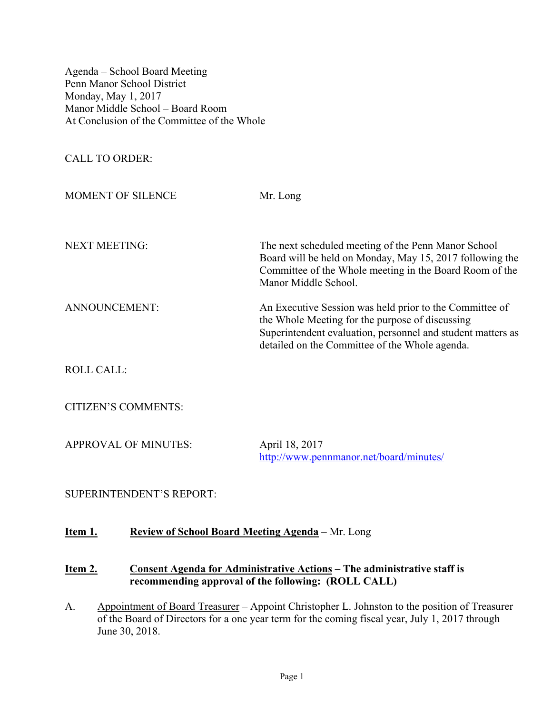Agenda – School Board Meeting Penn Manor School District Monday, May 1, 2017 Manor Middle School – Board Room At Conclusion of the Committee of the Whole

CALL TO ORDER:

| MOMENT OF SILENCE    | Mr. Long                                                                                                                                                                                                                    |
|----------------------|-----------------------------------------------------------------------------------------------------------------------------------------------------------------------------------------------------------------------------|
| <b>NEXT MEETING:</b> | The next scheduled meeting of the Penn Manor School<br>Board will be held on Monday, May 15, 2017 following the<br>Committee of the Whole meeting in the Board Room of the<br>Manor Middle School.                          |
| ANNOUNCEMENT:        | An Executive Session was held prior to the Committee of<br>the Whole Meeting for the purpose of discussing<br>Superintendent evaluation, personnel and student matters as<br>detailed on the Committee of the Whole agenda. |

ROLL CALL:

CITIZEN'S COMMENTS:

APPROVAL OF MINUTES: April 18, 2017

http://www.pennmanor.net/board/minutes/

SUPERINTENDENT'S REPORT:

# **Item 1. Review of School Board Meeting Agenda** – Mr. Long

### **Item 2. Consent Agenda for Administrative Actions – The administrative staff is recommending approval of the following: (ROLL CALL)**

A. Appointment of Board Treasurer – Appoint Christopher L. Johnston to the position of Treasurer of the Board of Directors for a one year term for the coming fiscal year, July 1, 2017 through June 30, 2018.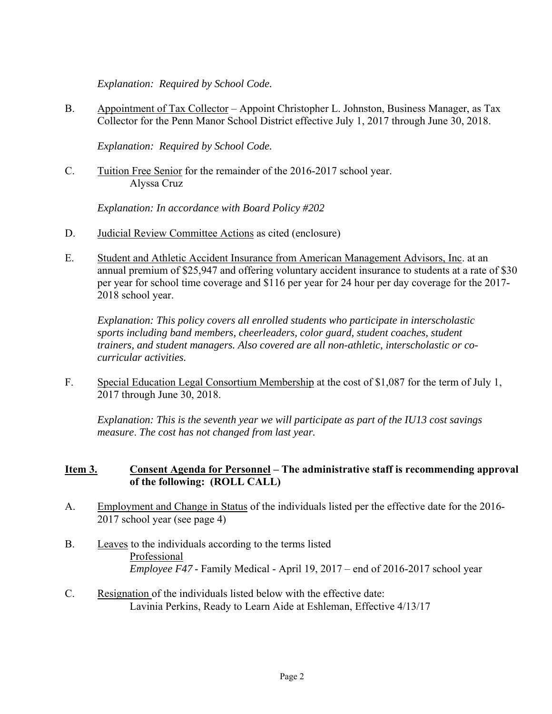*Explanation: Required by School Code.* 

B. Appointment of Tax Collector – Appoint Christopher L. Johnston, Business Manager, as Tax Collector for the Penn Manor School District effective July 1, 2017 through June 30, 2018.

 *Explanation: Required by School Code.* 

C. Tuition Free Senior for the remainder of the 2016-2017 school year. Alyssa Cruz

*Explanation: In accordance with Board Policy #202*

- D. Judicial Review Committee Actions as cited (enclosure)
- E. Student and Athletic Accident Insurance from American Management Advisors, Inc. at an annual premium of \$25,947 and offering voluntary accident insurance to students at a rate of \$30 per year for school time coverage and \$116 per year for 24 hour per day coverage for the 2017- 2018 school year.

*Explanation: This policy covers all enrolled students who participate in interscholastic sports including band members, cheerleaders, color guard, student coaches, student trainers, and student managers. Also covered are all non-athletic, interscholastic or cocurricular activities.* 

F. Special Education Legal Consortium Membership at the cost of \$1,087 for the term of July 1, 2017 through June 30, 2018.

*Explanation: This is the seventh year we will participate as part of the IU13 cost savings measure*. *The cost has not changed from last year.*

# **Item 3. Consent Agenda for Personnel – The administrative staff is recommending approval of the following: (ROLL CALL)**

- A. Employment and Change in Status of the individuals listed per the effective date for the 2016- 2017 school year (see page 4)
- B. Leaves to the individuals according to the terms listed Professional  *Employee F47* - Family Medical - April 19, 2017 – end of 2016-2017 school year
- C. Resignation of the individuals listed below with the effective date: Lavinia Perkins, Ready to Learn Aide at Eshleman, Effective 4/13/17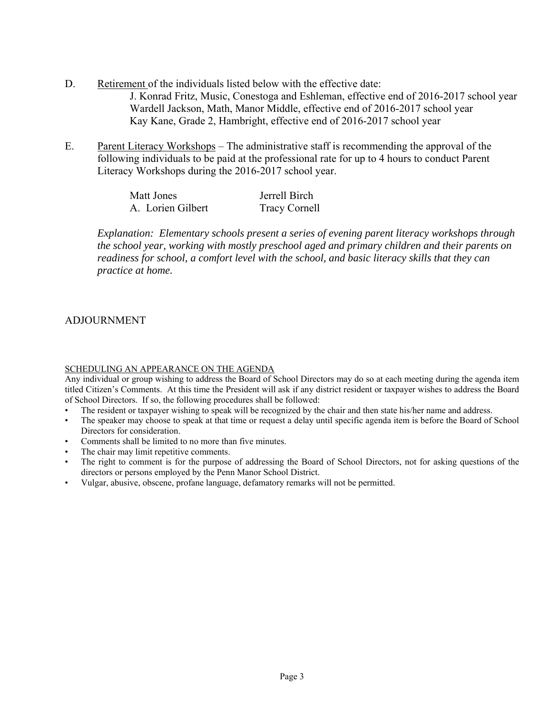- D. Retirement of the individuals listed below with the effective date: J. Konrad Fritz, Music, Conestoga and Eshleman, effective end of 2016-2017 school year Wardell Jackson, Math, Manor Middle, effective end of 2016-2017 school year Kay Kane, Grade 2, Hambright, effective end of 2016-2017 school year
- E. Parent Literacy Workshops The administrative staff is recommending the approval of the following individuals to be paid at the professional rate for up to 4 hours to conduct Parent Literacy Workshops during the 2016-2017 school year.

| Matt Jones        | Jerrell Birch        |
|-------------------|----------------------|
| A. Lorien Gilbert | <b>Tracy Cornell</b> |

*Explanation: Elementary schools present a series of evening parent literacy workshops through the school year, working with mostly preschool aged and primary children and their parents on readiness for school, a comfort level with the school, and basic literacy skills that they can practice at home.*

# ADJOURNMENT

### SCHEDULING AN APPEARANCE ON THE AGENDA

Any individual or group wishing to address the Board of School Directors may do so at each meeting during the agenda item titled Citizen's Comments. At this time the President will ask if any district resident or taxpayer wishes to address the Board of School Directors. If so, the following procedures shall be followed:

- The resident or taxpayer wishing to speak will be recognized by the chair and then state his/her name and address.
- The speaker may choose to speak at that time or request a delay until specific agenda item is before the Board of School Directors for consideration.
- Comments shall be limited to no more than five minutes.
- The chair may limit repetitive comments.
- The right to comment is for the purpose of addressing the Board of School Directors, not for asking questions of the directors or persons employed by the Penn Manor School District.
- Vulgar, abusive, obscene, profane language, defamatory remarks will not be permitted.